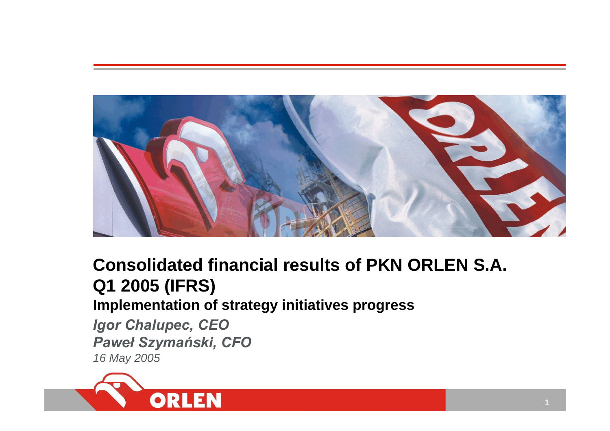

# **Consolidated financial results of PKN ORLEN S.A. Q1 2005 (IFRS) Implementation of strategy initiatives progress**

*Igor Chalupec, CEO Pawe ł Szyma ński, CFO 16 May 2005*

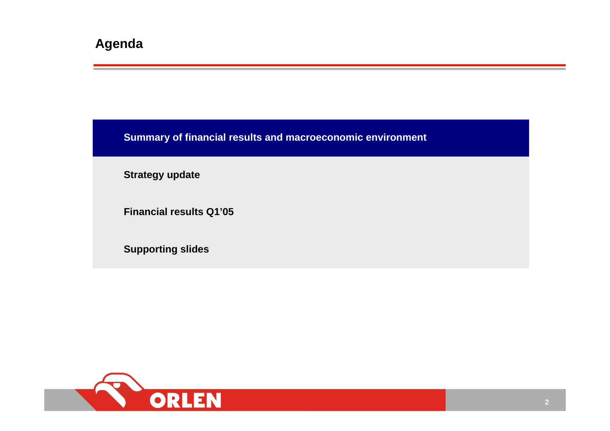**Summary of financial results and macroeconomic environment**

**Strategy update**

**Financial results Q1'05**

**Supporting slides**

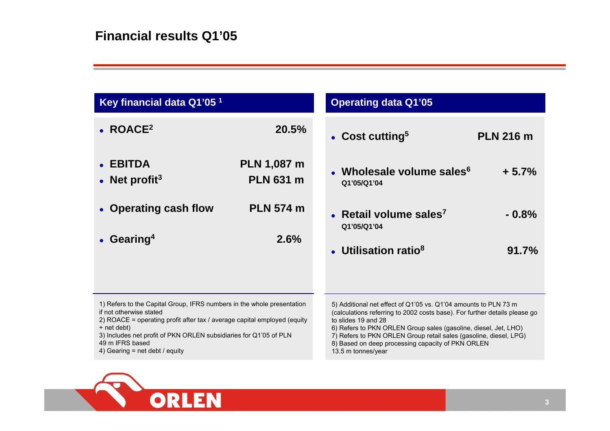| Key financial data Q1'05 <sup>1</sup>                                                                                                                                                                                                                                                                                  |                                        | <b>Operating data Q1'05</b>                                                                                                                                                                                                                                                                                                                                                             |                  |
|------------------------------------------------------------------------------------------------------------------------------------------------------------------------------------------------------------------------------------------------------------------------------------------------------------------------|----------------------------------------|-----------------------------------------------------------------------------------------------------------------------------------------------------------------------------------------------------------------------------------------------------------------------------------------------------------------------------------------------------------------------------------------|------------------|
| $\bullet$ ROACE <sup>2</sup>                                                                                                                                                                                                                                                                                           | 20.5%                                  | • Cost cutting <sup>5</sup>                                                                                                                                                                                                                                                                                                                                                             | <b>PLN 216 m</b> |
| • EBITDA<br>Net profit <sup>3</sup>                                                                                                                                                                                                                                                                                    | <b>PLN 1,087 m</b><br><b>PLN 631 m</b> | • Wholesale volume sales $6$<br>Q1'05/Q1'04                                                                                                                                                                                                                                                                                                                                             | $+5.7%$          |
| • Operating cash flow                                                                                                                                                                                                                                                                                                  | <b>PLN 574 m</b>                       | • Retail volume sales <sup>7</sup><br>Q1'05/Q1'04                                                                                                                                                                                                                                                                                                                                       | $-0.8%$          |
| • Gearing <sup>4</sup>                                                                                                                                                                                                                                                                                                 | 2.6%                                   | • Utilisation ratio <sup>8</sup>                                                                                                                                                                                                                                                                                                                                                        | 91.7%            |
| 1) Refers to the Capital Group, IFRS numbers in the whole presentation<br>if not otherwise stated<br>2) ROACE = operating profit after tax / average capital employed (equity<br>+ net debt)<br>3) Includes net profit of PKN ORLEN subsidiaries for Q1'05 of PLN<br>49 m IFRS based<br>4) Gearing = net debt / equity |                                        | 5) Additional net effect of Q1'05 vs. Q1'04 amounts to PLN 73 m<br>(calculations referring to 2002 costs base). For further details please go<br>to slides 19 and 28<br>6) Refers to PKN ORLEN Group sales (gasoline, diesel, Jet, LHO)<br>7) Refers to PKN ORLEN Group retail sales (gasoline, diesel, LPG)<br>8) Based on deep processing capacity of PKN ORLEN<br>13.5 m tonnes/year |                  |

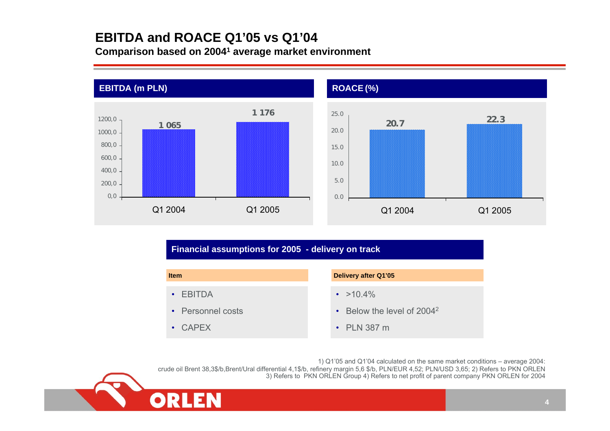### **EBITDA and ROACE Q1'05 vs Q1'04 Comparison based on 20041 average market environment**



### **Financial assumptions for 2005 - delivery on track**

| <b>Item</b>       | Delivery after Q1'05                         |
|-------------------|----------------------------------------------|
| $\cdot$ EBITDA    | $\cdot$ >10.4%                               |
| • Personnel costs | $\cdot$ Below the level of 2004 <sup>2</sup> |
| $\cdot$ CAPFX     | $\cdot$ PLN 387 m                            |

1) Q1'05 and Q1'04 calculated on the same market conditions – average 2004: crude oil Brent 38,3\$/b,Brent/Ural differential 4,1\$/b, refinery margin 5,6 \$/b, PLN/EUR 4,52; PLN/USD 3,65; 2) Refers to PKN ORLEN 3) Refers to PKN ORLEN Group 4) Refers to net profit of parent company PKN ORLEN for 2004



**22.3**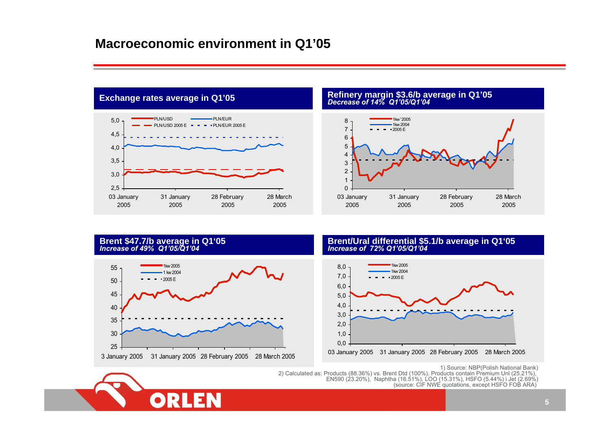

**Refinery margin \$3.6/b average in Q1'05** *Decrease of 14% Q1'05/Q1'04*





## **Brent \$47.7/b average in Q1'05 Increase of 49% Q1'05/Q1'04 Brent Brent Brent Brent Brent Brent Brent Brent Brent Brent Brent Brent Brent Brent Brent Brent Brent Brent Brench 21'05**



1) Source: NBP(Polish National Bank)<br>2) Calculated as: Products (88.36%) vs. Brent Dtd (100%). Products (18.51%),<br>EN590 (23.20%), Naphtha (16.51%), LOO (15.31%), HSFO (5.44%) i Jet (2.69%),<br>(source: CIF NWE quotations, ex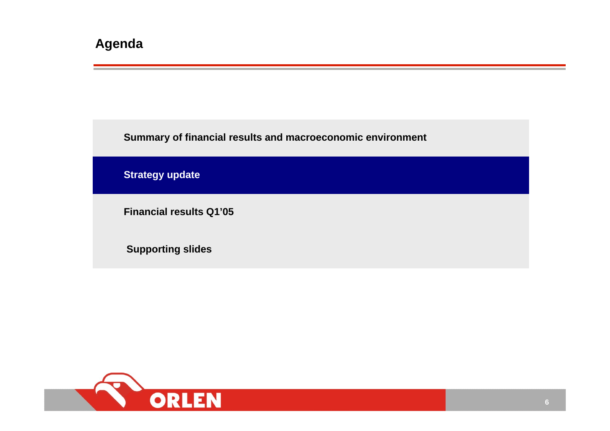**Summary of financial results and macroeconomic environment**

**Strategy update**

**Financial results Q1'05**

**Supporting slides**

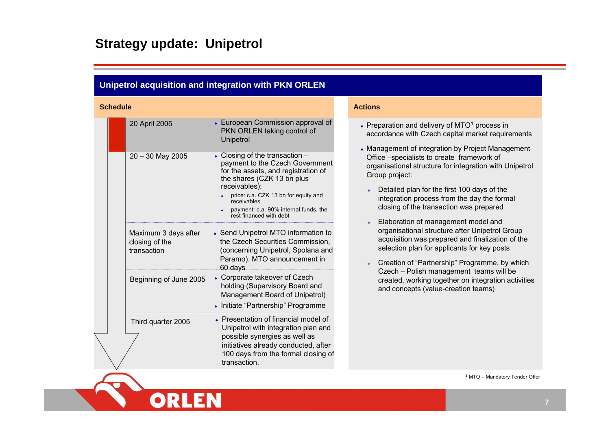## **Strategy update: Unipetrol**

ORLEN

| <b>Schedule</b><br><b>Actions</b><br>• European Commission approval of<br>20 April 2005<br>• Preparation and delivery of $MTO1$ process in<br>PKN ORLEN taking control of<br>Unipetrol<br>• Closing of the transaction -<br>$20 - 30$ May 2005<br>Office -specialists to create framework of<br>payment to the Czech Government<br>for the assets, and registration of<br>Group project:<br>the shares (CZK 13 bn plus<br>receivables):<br>Detailed plan for the first 100 days of the<br>price: c.a. CZK 13 bn for equity and<br>integration process from the day the formal<br>receivables<br>closing of the transaction was prepared<br>payment: c.a. 90% internal funds, the<br>rest financed with debt<br>Elaboration of management model and<br>organisational structure after Unipetrol Group<br>• Send Unipetrol MTO information to<br>Maximum 3 days after<br>the Czech Securities Commission,<br>closing of the<br>selection plan for applicants for key posts<br>(concerning Unipetrol, Spolana and<br>transaction<br>Paramo). MTO announcement in<br>60 days<br>Czech - Polish management teams will be<br>• Corporate takeover of Czech<br>Beginning of June 2005<br>holding (Supervisory Board and<br>and concepts (value-creation teams)<br>Management Board of Unipetrol)<br>• Initiate "Partnership" Programme<br>• Presentation of financial model of<br>Third quarter 2005<br>Unipetrol with integration plan and<br>possible synergies as well as | Unipetrol acquisition and integration with PKN ORLEN |                                                                                                                                                                                                                                                                                                                               |
|-----------------------------------------------------------------------------------------------------------------------------------------------------------------------------------------------------------------------------------------------------------------------------------------------------------------------------------------------------------------------------------------------------------------------------------------------------------------------------------------------------------------------------------------------------------------------------------------------------------------------------------------------------------------------------------------------------------------------------------------------------------------------------------------------------------------------------------------------------------------------------------------------------------------------------------------------------------------------------------------------------------------------------------------------------------------------------------------------------------------------------------------------------------------------------------------------------------------------------------------------------------------------------------------------------------------------------------------------------------------------------------------------------------------------------------------------------------------------|------------------------------------------------------|-------------------------------------------------------------------------------------------------------------------------------------------------------------------------------------------------------------------------------------------------------------------------------------------------------------------------------|
|                                                                                                                                                                                                                                                                                                                                                                                                                                                                                                                                                                                                                                                                                                                                                                                                                                                                                                                                                                                                                                                                                                                                                                                                                                                                                                                                                                                                                                                                       |                                                      |                                                                                                                                                                                                                                                                                                                               |
| 100 days from the formal closing of<br>transaction.                                                                                                                                                                                                                                                                                                                                                                                                                                                                                                                                                                                                                                                                                                                                                                                                                                                                                                                                                                                                                                                                                                                                                                                                                                                                                                                                                                                                                   | initiatives already conducted, after                 | accordance with Czech capital market requirements<br>• Management of integration by Project Management<br>organisational structure for integration with Unipetrol<br>acquisition was prepared and finalization of the<br>Creation of "Partnership" Programme, by which<br>created, working together on integration activities |

**1** MTO – Mandatory Tender Offer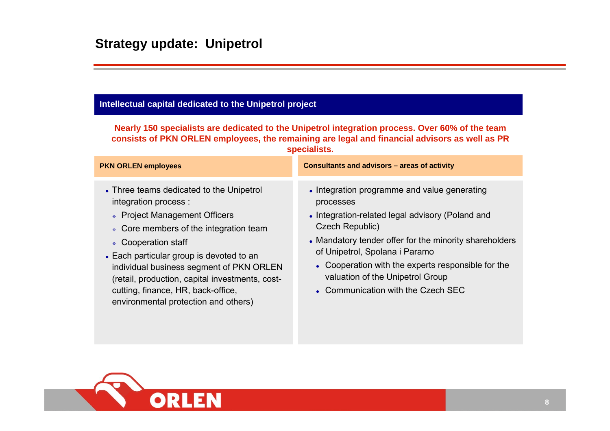### **Intellectual capital dedicated to the Unipetrol project**

**Nearly 150 specialists are dedicated to the Unipetrol integration process. Over 60% of the team consists of PKN ORLEN employees, the remaining are legal and financial advisors as well as PR specialists.**

| <b>PKN ORLEN employees</b>                                                                                                                                                                                                                                                                                                                                                                   | Consultants and advisors - areas of activity                                                                                                                                                                                                                                                                                                                 |
|----------------------------------------------------------------------------------------------------------------------------------------------------------------------------------------------------------------------------------------------------------------------------------------------------------------------------------------------------------------------------------------------|--------------------------------------------------------------------------------------------------------------------------------------------------------------------------------------------------------------------------------------------------------------------------------------------------------------------------------------------------------------|
| • Three teams dedicated to the Unipetrol<br>integration process :<br>↓ Project Management Officers<br>• Core members of the integration team<br>↓ Cooperation staff<br>• Each particular group is devoted to an<br>individual business segment of PKN ORLEN<br>(retail, production, capital investments, cost-<br>cutting, finance, HR, back-office,<br>environmental protection and others) | • Integration programme and value generating<br>processes<br>• Integration-related legal advisory (Poland and<br>Czech Republic)<br>• Mandatory tender offer for the minority shareholders<br>of Unipetrol, Spolana i Paramo<br>• Cooperation with the experts responsible for the<br>valuation of the Unipetrol Group<br>• Communication with the Czech SEC |

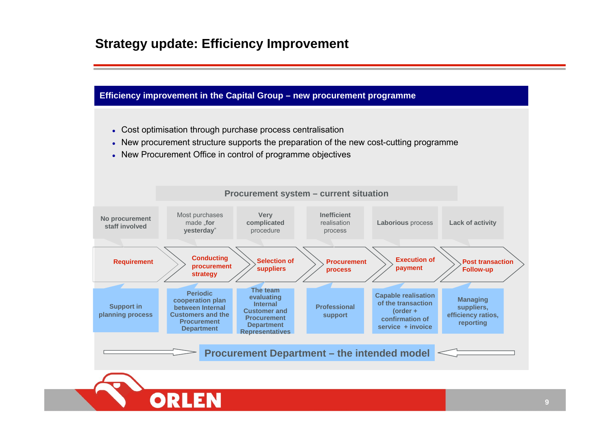## **Strategy update: Efficiency Improvement**

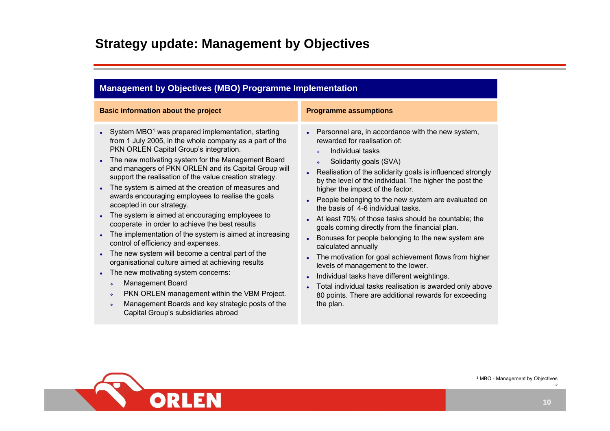## **Strategy update: Management by Objectives**

| <b>Management by Objectives (MBO) Programme Implementation</b>                                                                                                                                                                                                                                                                                                                                                                                                                                                                                                                                                                                                                                                                                                                                                                                                                                                                                                                                                                                                                                         |                                                                                                                                                                                                                                                                                                                                                                                                                                                                                                                                                                                                                                                                                                                                                                                                                                                                        |  |  |  |
|--------------------------------------------------------------------------------------------------------------------------------------------------------------------------------------------------------------------------------------------------------------------------------------------------------------------------------------------------------------------------------------------------------------------------------------------------------------------------------------------------------------------------------------------------------------------------------------------------------------------------------------------------------------------------------------------------------------------------------------------------------------------------------------------------------------------------------------------------------------------------------------------------------------------------------------------------------------------------------------------------------------------------------------------------------------------------------------------------------|------------------------------------------------------------------------------------------------------------------------------------------------------------------------------------------------------------------------------------------------------------------------------------------------------------------------------------------------------------------------------------------------------------------------------------------------------------------------------------------------------------------------------------------------------------------------------------------------------------------------------------------------------------------------------------------------------------------------------------------------------------------------------------------------------------------------------------------------------------------------|--|--|--|
| <b>Basic information about the project</b>                                                                                                                                                                                                                                                                                                                                                                                                                                                                                                                                                                                                                                                                                                                                                                                                                                                                                                                                                                                                                                                             | <b>Programme assumptions</b>                                                                                                                                                                                                                                                                                                                                                                                                                                                                                                                                                                                                                                                                                                                                                                                                                                           |  |  |  |
| • System MBO <sup>1</sup> was prepared implementation, starting<br>from 1 July 2005, in the whole company as a part of the<br>PKN ORLEN Capital Group's integration.<br>The new motivating system for the Management Board<br>$\bullet$<br>and managers of PKN ORLEN and its Capital Group will<br>support the realisation of the value creation strategy.<br>The system is aimed at the creation of measures and<br>$\bullet$<br>awards encouraging employees to realise the goals<br>accepted in our strategy.<br>The system is aimed at encouraging employees to<br>cooperate in order to achieve the best results<br>The implementation of the system is aimed at increasing<br>$\bullet$<br>control of efficiency and expenses.<br>The new system will become a central part of the<br>$\bullet$<br>organisational culture aimed at achieving results<br>The new motivating system concerns:<br>$\bullet$<br><b>Management Board</b><br>÷.<br>PKN ORLEN management within the VBM Project.<br>÷.<br>Management Boards and key strategic posts of the<br>÷.<br>Capital Group's subsidiaries abroad | Personnel are, in accordance with the new system,<br>rewarded for realisation of:<br>Individual tasks<br>Solidarity goals (SVA)<br>÷.<br>Realisation of the solidarity goals is influenced strongly<br>by the level of the individual. The higher the post the<br>higher the impact of the factor.<br>People belonging to the new system are evaluated on<br>the basis of 4-6 individual tasks.<br>At least 70% of those tasks should be countable; the<br>goals coming directly from the financial plan.<br>Bonuses for people belonging to the new system are<br>calculated annually<br>The motivation for goal achievement flows from higher<br>levels of management to the lower.<br>Individual tasks have different weightings.<br>Total individual tasks realisation is awarded only above<br>80 points. There are additional rewards for exceeding<br>the plan. |  |  |  |

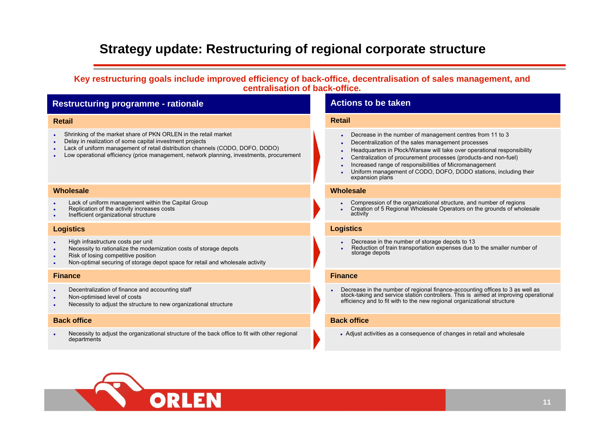## **Strategy update: Restructuring of regional corporate structure**

**Key restructuring goals include improved efficiency of back-office, decentralisation of sales management, and centralisation of back-office.**

### **Restructuring programme - rationale**

#### **Retail**

- $\ddot{\phantom{a}}$ Shrinking of the market share of PKN ORLEN in the retail market
- o Delay in realization of some capital investment projects
- e Lack of uniform management of retail distribution channels (CODO, DOFO, DODO)
- o Low operational efficiency (price management, network planning, investments, procurement

#### **Wholesale**

- $\bullet$ Lack of uniform management within the Capital Group
- c Replication of the activity increases costs
- $\bullet$ Inefficient organizational structure

#### **Logistics**

- c High infrastructure costs per unit
- e Necessity to rationalize the modernization costs of storage depots
- e Risk of losing competitive position
- c Non-optimal securing of storage depot space for retail and wholesale activity

#### **Finance**

- c Decentralization of finance and accounting staff
- c Non-optimised level of costs
- $\bullet$ Necessity to adjust the structure to new organizational structure

#### **Back office**

e Necessity to adjust the organizational structure of the back office to fit with other regional departments

### **Actions to be taken**

#### **Retail**

- c Decrease in the number of management centres from 11 to 3
- c Decentralization of the sales management processes
- c Headquarters in Płock/Warsaw will take over operational responsibility
- c Centralization of procurement processes (products-and non-fuel)
- e Increased range of responsibilities of Micromanagement
- e Uniform management of CODO, DOFO, DODO stations, including their expansion plans

#### **Wholesale**

- e Compression of the organizational structure, and number of regions
- e Creation of 5 Regional Wholesale Operators on the grounds of wholesale activity

#### **Logistics**

- e Decrease in the number of storage depots to 13
- e Reduction of train transportation expenses due to the smaller number of storage depots

#### **Finance**

e Decrease in the number of regional finance-accounting offices to 3 as well as stock-taking and service station controllers. This is aimed at improving operational efficiency and to fit with to the new regional organizational structure

#### **Back office**

• Adjust activities as a consequence of changes in retail and wholesale

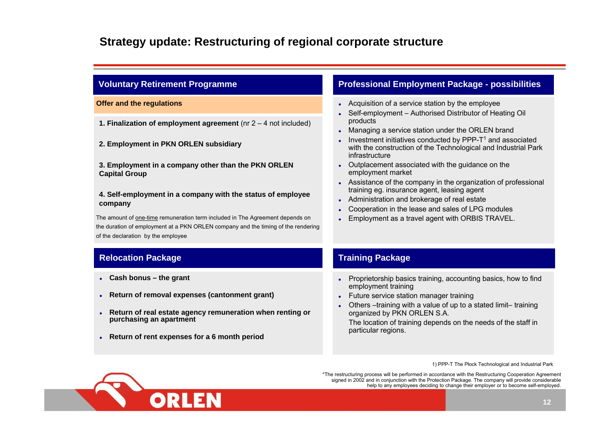## **Strategy update: Restructuring of regional corporate structure**

| <b>Voluntary Retirement Programme</b>                                                                                   | <b>Professional Employment Package - possibilities</b>                                                                                                    |
|-------------------------------------------------------------------------------------------------------------------------|-----------------------------------------------------------------------------------------------------------------------------------------------------------|
| <b>Offer and the regulations</b>                                                                                        | • Acquisition of a service station by the employee<br>Self-employment - Authorised Distributor of Heating Oil<br>$\bullet$                                |
| 1. Finalization of employment agreement ( $nr 2 - 4$ not included)                                                      | products<br>Managing a service station under the ORLEN brand<br>$\bullet$                                                                                 |
| 2. Employment in PKN ORLEN subsidiary                                                                                   | Investment initiatives conducted by PPP-T <sup>1</sup> and associated<br>with the construction of the Technological and Industrial Park<br>infrastructure |
| 3. Employment in a company other than the PKN ORLEN<br><b>Capital Group</b>                                             | Outplacement associated with the guidance on the<br>$\bullet$<br>employment market                                                                        |
|                                                                                                                         | Assistance of the company in the organization of professional<br>training eg. insurance agent, leasing agent                                              |
| 4. Self-employment in a company with the status of employee<br>company                                                  | Administration and brokerage of real estate<br>$\bullet$                                                                                                  |
|                                                                                                                         | Cooperation in the lease and sales of LPG modules                                                                                                         |
| The amount of one-time remuneration term included in The Agreement depends on                                           | Employment as a travel agent with ORBIS TRAVEL.<br>$\bullet$                                                                                              |
| the duration of employment at a PKN ORLEN company and the timing of the rendering<br>of the declaration by the employee |                                                                                                                                                           |
| <b>Relocation Package</b>                                                                                               | <b>Training Package</b>                                                                                                                                   |
| Cash bonus - the grant                                                                                                  | Proprietorship basics training, accounting basics, how to find<br>$\bullet$<br>employment training                                                        |
| Return of removal expenses (cantonment grant)                                                                           | Future service station manager training<br>$\bullet$                                                                                                      |
|                                                                                                                         | Others -training with a value of up to a stated limit-training                                                                                            |
| Return of real estate agency remuneration when renting or<br>purchasing an apartment                                    | organized by PKN ORLEN S.A.<br>The location of training depends on the needs of the staff in<br>particular regions.                                       |
|                                                                                                                         |                                                                                                                                                           |

1) PPP-T The Płock Technological and Industrial Park

\*The restructuring process will be performed in accordance with the Restructuring Cooperation Agreement signed in 2002 and in conjunction with the Protection Package. The company will provide considerable help to any employees deciding to change their employer or to become self-employed.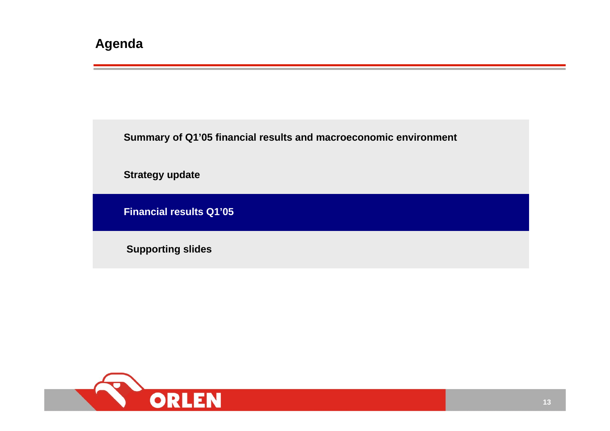**Summary of Q1'05 financial results and macroeconomic environment**

**Strategy update**

**Financial results Q1'05**

**Supporting slides**

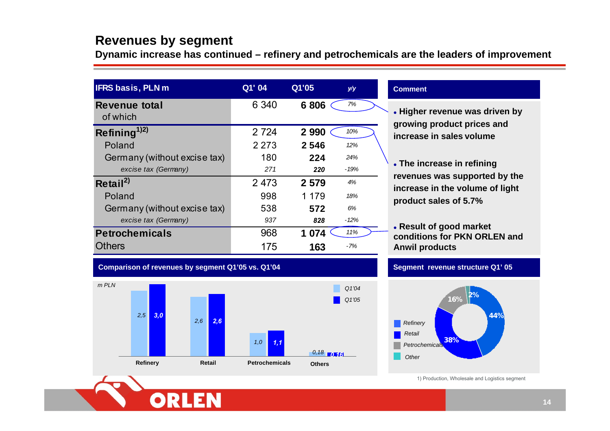## **Revenues by segment**

**Dynamic increase has continued – refinery and petrochemicals are the leaders of improvement**

| <b>IFRS basis, PLN m</b>              | Q1' 04  | Q1'05   | y/y    |
|---------------------------------------|---------|---------|--------|
| Revenue total<br>of which             | 6 3 4 0 | 6806    | 7%     |
| Refining <sup><math>1)2)</math></sup> | 2 7 2 4 | 2 9 9 0 | 10%    |
| Poland                                | 2 2 7 3 | 2546    | 12%    |
| Germany (without excise tax)          | 180     | 224     | 24%    |
| excise tax (Germany)                  | 271     | 220     | $-19%$ |
| Retail <sup>2)</sup>                  | 2 4 7 3 | 2 5 7 9 | 4%     |
| Poland                                | 998     | 1 1 7 9 | 18%    |
| Germany (without excise tax)          | 538     | 572     | 6%     |
| excise tax (Germany)                  | 937     | 828     | $-12%$ |
| <b>Petrochemicals</b>                 | 968     | 1 0 7 4 | 11%    |
| <b>Others</b>                         | 175     | 163     | $-7%$  |

#### **Comment**

- z **Higher revenue was driven by growing product prices and increase in sales volume**
- **. The increase in refining revenues was supported by the increase in the volume of light product sales of 5.7%**
- z **Result of good market conditions for PKN ORLEN and Anwil products**

### **Comparison of revenues by segment Q1'05 vs. Q1'04**



### **Segment revenue structure Q1' 05**



1) Production, Wholesale and Logistics segment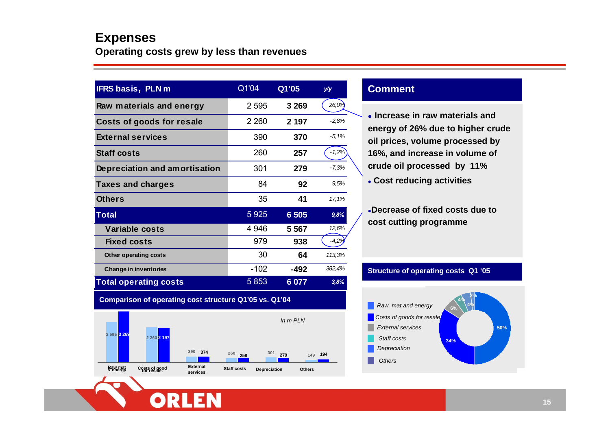### **Expenses Operating costs grew by less than revenues**

| <b>IFRS</b> basis, PLN m      | Q1'04   | Q1'05   | y/y     |
|-------------------------------|---------|---------|---------|
| Raw materials and energy      | 2 5 9 5 | 3 2 6 9 | 26,0%   |
| Costs of goods for resale     | 2 2 6 0 | 2 197   | $-2.8%$ |
| <b>External services</b>      | 390     | 370     | $-5.1%$ |
| <b>Staff costs</b>            | 260     | 257     | $-1,2%$ |
| Depreciation and amortisation | 301     | 279     | $-7,3%$ |
| Taxes and charges             | 84      | 92      | 9.5%    |
| <b>Others</b>                 | 35      | 41      | 17,1%   |
| <b>Total</b>                  | 5925    | 6 5 0 5 | 9,8%    |
| <b>Variable costs</b>         | 4 9 4 6 | 5 5 6 7 | 12,6%   |
| <b>Fixed costs</b>            | 979     | 938     | $-4,2%$ |
| <b>Other operating costs</b>  | 30      | 64      | 113,3%  |
| <b>Change in inventories</b>  | $-102$  | -492    | 382,4%  |
| <b>Total operating costs</b>  | 5853    | 6 0 7 7 | 3,8%    |

**Comparison of operating cost structure Q1'05 vs. Q1'04**

OR



### **Comment**

**• Increase in raw materials and energy of 26% due to higher crude oil prices, volume processed by 16%, and increase in volume of crude oil processed by 11%**

z **Cost reducing activities**

z**Decrease of fixed costs due to cost cutting programme**

### **Structure of operating costs Q1 '05**

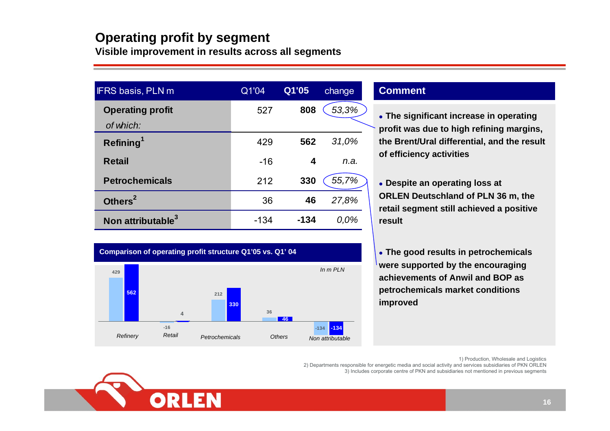# **Operating profit by segment**

**Visible improvement in results across all segments**

| <b>IFRS basis, PLN m</b>      | Q1'04  | Q1'05  | change |
|-------------------------------|--------|--------|--------|
| <b>Operating profit</b>       | 527    | 808    | 53,3%  |
| of which:                     |        |        |        |
| Refining <sup>1</sup>         | 429    | 562    | 31,0%  |
| <b>Retail</b>                 | $-16$  | 4      | n.a.   |
| <b>Petrochemicals</b>         | 212    | 330    | 55,7%  |
| Others <sup>2</sup>           | 36     | 46     | 27,8%  |
| Non attributable <sup>3</sup> | $-134$ | $-134$ | 0.0%   |



### **Comment**

- **The significant increase in operating profit was due to high refining margins, the Brent/Ural differential, and the result of efficiency activities**
- **Despite an operating loss at ORLEN Deutschland of PLN 36 m, the retail segment still achieved a positive result**
- **The good results in petrochemicals were supported by the encouraging achievements of Anwil and BOP as petrochemicals market conditions improved**

1) Production, Wholesale and Logistics

2) Departments responsible for energetic media and social activity and services subsidiaries of PKN ORLEN 3) Includes corporate centre of PKN and subsidiaries not mentioned in previous segments

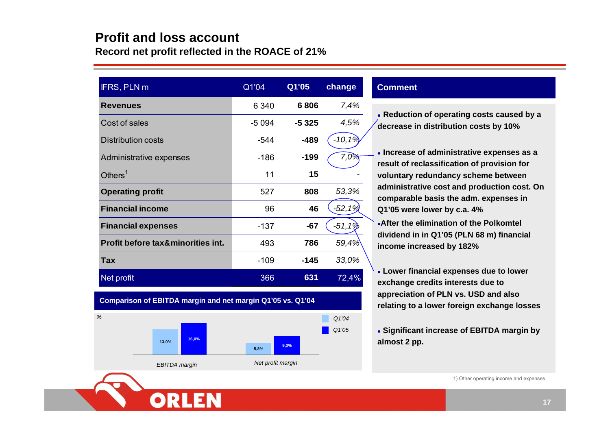### **Profit and loss accountRecord net profit reflected in the ROACE of 21%**

| IFRS, PLN m                                  | Q1'04   | Q1'05   | change     |
|----------------------------------------------|---------|---------|------------|
| <b>Revenues</b>                              | 6 3 4 0 | 6806    | 7,4%       |
| Cost of sales                                | $-5094$ | $-5325$ | 4,5%       |
| <b>Distribution costs</b>                    | $-544$  | $-489$  | $-10, 1\%$ |
| Administrative expenses                      | $-186$  | $-199$  | 7,0%       |
| Others $1$                                   | 11      | 15      |            |
| <b>Operating profit</b>                      | 527     | 808     | 53,3%      |
| <b>Financial income</b>                      | 96      | 46      | $-52,1%$   |
| <b>Financial expenses</b>                    | $-137$  | $-67$   | $-51,19$   |
| <b>Profit before tax&amp;minorities int.</b> | 493     | 786     | 59,4%      |
| <b>Tax</b>                                   | $-109$  | $-145$  | 33,0%      |
| Net profit                                   | 366     | 631     | 72,4%      |

### **Comment**

• Reduction of operating costs caused by a **decrease in distribution costs by 10%**

**Increase of administrative expenses as a result of reclassification of provision for voluntary redundancy scheme between administrative cost and production cost. On comparable basis the adm. expenses in Q1'05 were lower by c.a. 4% After the elimination of the Polkomtel dividend in in Q1'05 (PLN 68 m) financial income increased by 182%**

**Lower financial expenses due to lower exchange credits interests due to appreciation of PLN vs. USD and also relating to a lower foreign exchange losses**

**• Significant increase of EBITDA margin by** 

1) Other operating income and expenses



**5,8%**

#### *EBITDA margin Net profit margin*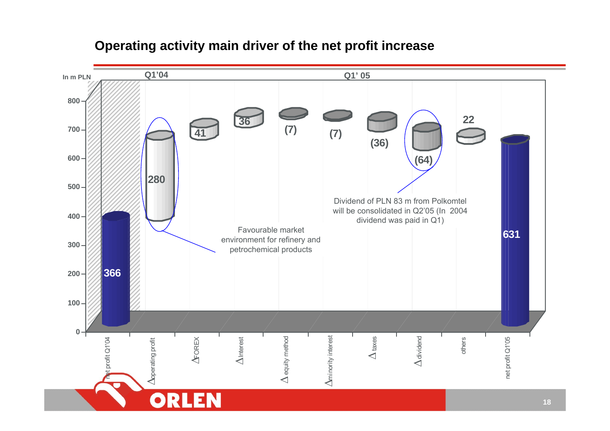

## **Operating activity main driver of the net profit increase**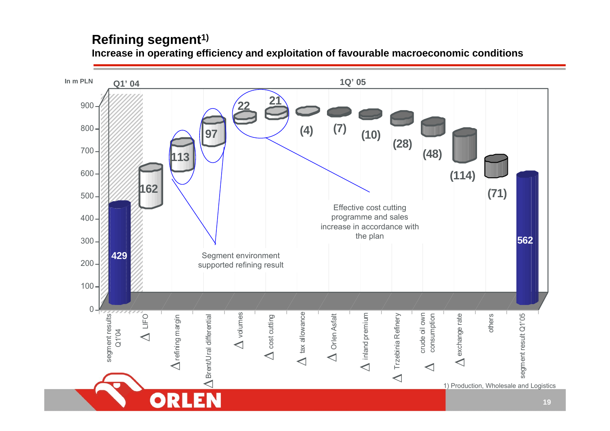## **Refining segment1)**

**Increase in operating efficiency and exploitation of favourable macroeconomic conditions**

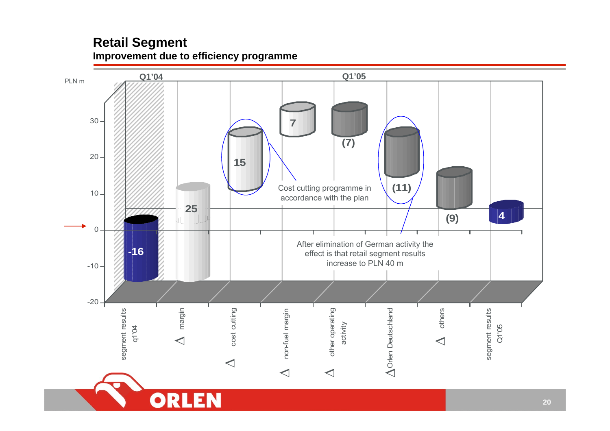## **Retail Segment Improvement due to efficiency programme**

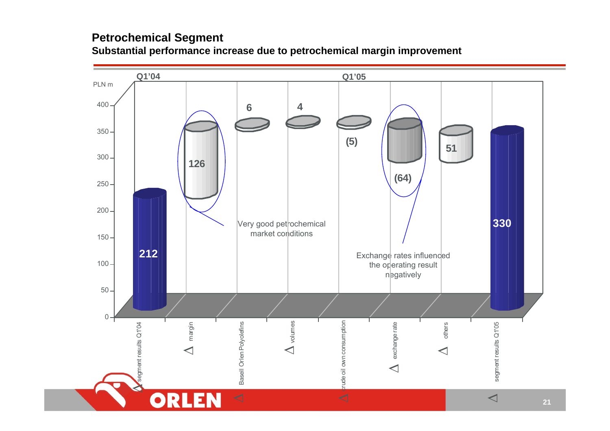### **Petrochemical Segment Substantial performance increase due to petrochemical margin improvement**

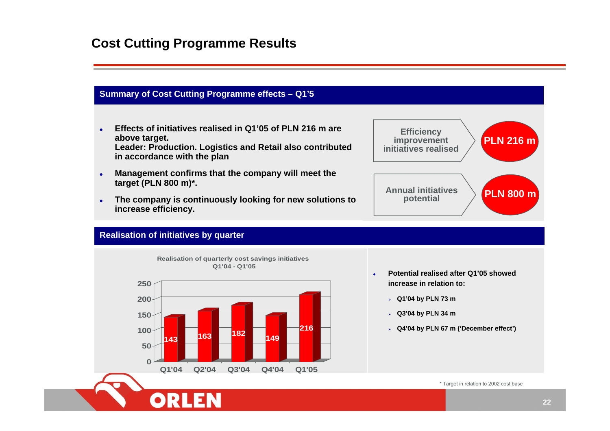## **Cost Cutting Programme Results**

### **Summary of Cost Cutting Programme effects – Q1'5**

- $\bullet$  **Effects of initiatives realised in Q1'05 of PLN 216 m are above target. Leader: Production. Logistics and Retail also contributed in accordance with the plan**
- $\bullet$  **Management confirms that the company will meet the target (PLN 800 m)\*.**
- $\bullet$  **The company is continuously looking for new solutions to increase efficiency.**



### **Realisation of initiatives by quarter**



- o **Potential realised after Q1'05 showed increase in relation to:**
	- ¾ **Q1'04 by PLN 73 m**
	- ¾ **Q3'04 by PLN 34 m**
	- ¾ **Q4'04 by PLN 67 m ('December effect')**

\* Target in relation to 2002 cost base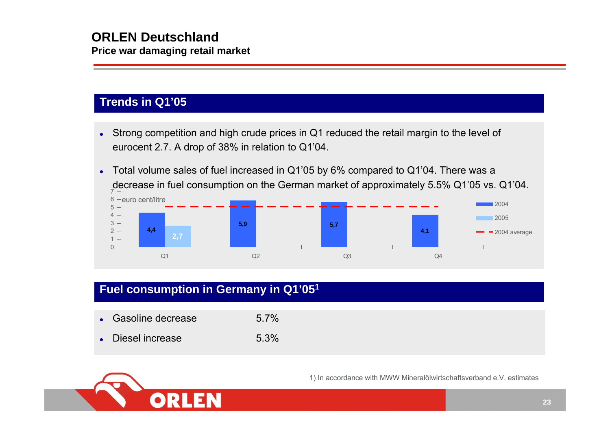## **Trends in Q1'05**

- $\bullet$  Strong competition and high crude prices in Q1 reduced the retail margin to the level of eurocent 2.7. A drop of 38% in relation to Q1'04.
- $\bullet$  Total volume sales of fuel increased in Q1'05 by 6% compared to Q1'04. There was a decrease in fuel consumption on the German market of approximately 5.5% Q1'05 vs. Q1'04.



## **Fuel consumption in Germany in Q1'051**

| • Gasoline decrease | $5.7\%$ |
|---------------------|---------|
| • Diesel increase   | 5.3%    |



1) In accordance with MWW Mineralölwirtschaftsverband e.V. estimates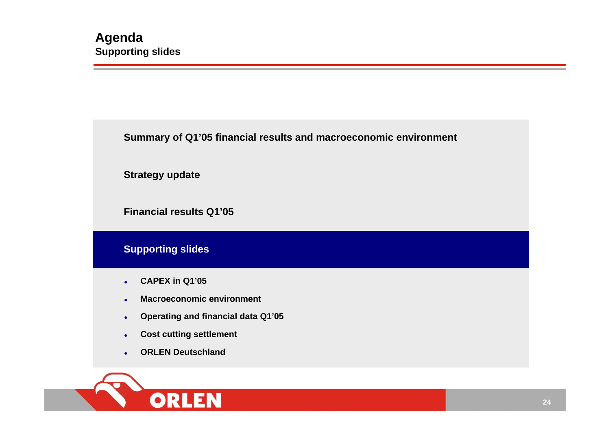**Summary of Q1'05 financial results and macroeconomic environment**

**Strategy update**

**Financial results Q1'05**

**Supporting slides**

- $\bullet$ **CAPEX in Q1'05**
- $\bullet$ **Macroeconomic environment**
- $\bullet$ **Operating and financial data Q1'05**
- $\bullet$ **Cost cutting settlement**
- $\bullet$ **ORLEN Deutschland**

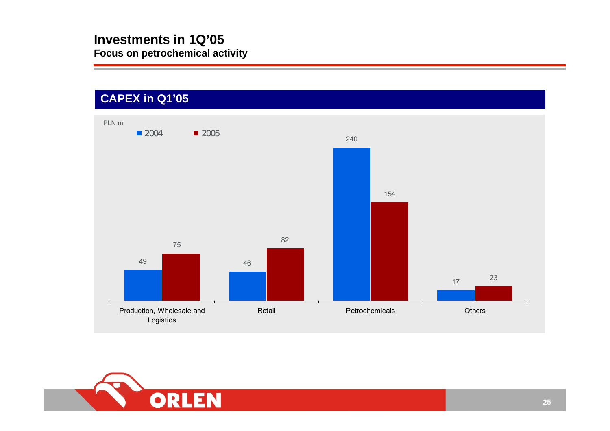

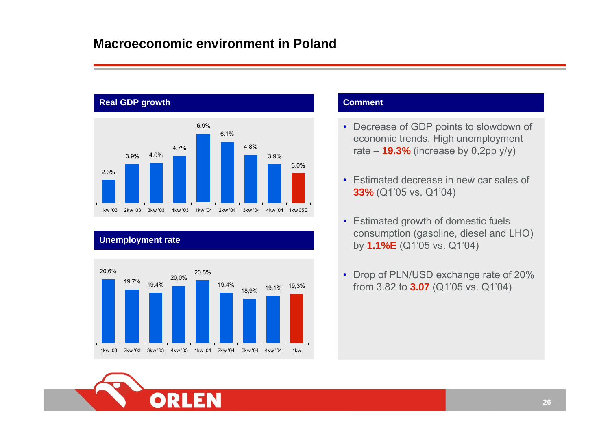## **Macroeconomic environment in Poland**



### **Unemployment rate**



### **Comment**

- Decrease of GDP points to slowdown of economic trends. High unemployment rate – **19.3%** (increase by 0,2pp y/y)
- Estimated decrease in new car sales of **33%** (Q1'05 vs. Q1'04)
- Estimated growth of domestic fuels consumption (gasoline, diesel and LHO) by **1.1%E** (Q1'05 vs. Q1'04)
- Drop of PLN/USD exchange rate of 20% from 3.82 to **3.07** (Q1'05 vs. Q1'04)

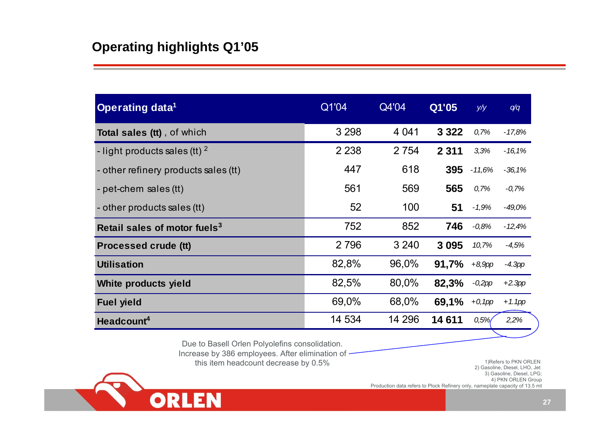| <b>Operating data<sup>1</sup></b>        | Q1'04   | Q4'04   | Q1'05   | y/y       | q/q       |
|------------------------------------------|---------|---------|---------|-----------|-----------|
| <b>Total sales (tt)</b> , of which       | 3 2 9 8 | 4 0 4 1 | 3 3 2 2 | 0,7%      | $-17,8%$  |
| - light products sales (tt) $^2$         | 2 2 3 8 | 2 7 5 4 | 2 3 1 1 | 3,3%      | $-16,1%$  |
| - other refinery products sales (tt)     | 447     | 618     | 395     | $-11,6%$  | $-36,1%$  |
| - pet-chem sales (tt)                    | 561     | 569     | 565     | 0,7%      | $-0,7%$   |
| - other products sales (tt)              | 52      | 100     | 51      | $-1,9%$   | $-49,0%$  |
| Retail sales of motor fuels <sup>3</sup> | 752     | 852     | 746     | $-0.8%$   | $-12,4%$  |
| <b>Processed crude (tt)</b>              | 2 7 9 6 | 3 2 4 0 | 3 0 9 5 | 10,7%     | $-4,5%$   |
| <b>Utilisation</b>                       | 82,8%   | 96,0%   | 91,7%   | $+8,9$ pp | $-4.3$ pp |
| White products yield                     | 82,5%   | 80,0%   | 82,3%   | $-0,2pp$  | $+2.3$ pp |
| <b>Fuel yield</b>                        | 69,0%   | 68,0%   | 69,1%   | $+0,1$ pp | $+1.1$ pp |
| Headcount <sup>4</sup>                   | 14 534  | 14 296  | 14611   | 0,5%      | 2,2%      |

Due to Basell Orlen Polyolefins consolidation.

Increase by 386 employees. After elimination of -

this item headcount decrease by 0.5%

1)Refers to PKN ORLEN 2) Gasoline, Diesel, LHO, Jet 3) Gasoline, Diesel, LPG; 4) PKN ORLEN Group Production data refers to Plock Refinery only, nameplate capacity of 13.5 mt

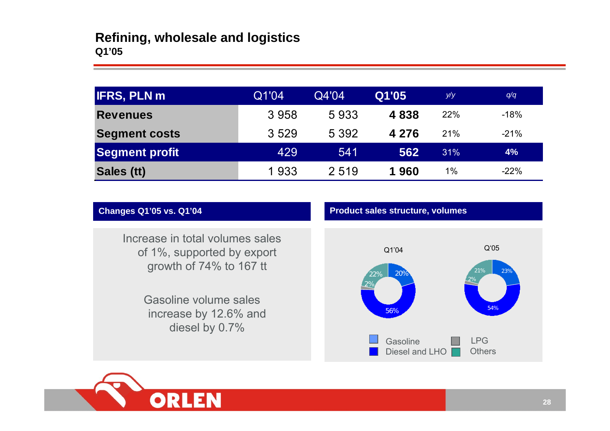| <b>IFRS, PLN m</b>   | Q1'04 | Q4'04   | Q1'05   | y/y   | q/q    |
|----------------------|-------|---------|---------|-------|--------|
| <b>Revenues</b>      | 3958  | 5933    | 4838    | 22%   | $-18%$ |
| <b>Segment costs</b> | 3529  | 5 3 9 2 | 4 2 7 6 | 21%   | $-21%$ |
| Segment profit       | 429   | 541     | 562     | 31%   | 4%     |
| Sales (tt)           | 1933  | 2 5 1 9 | 1960    | $1\%$ | $-22%$ |

Increase in total volumes sales of 1%, supported by export growth of 74% to 167 tt

> Gasoline volume sales increase by 12.6% and diesel by 0.7%





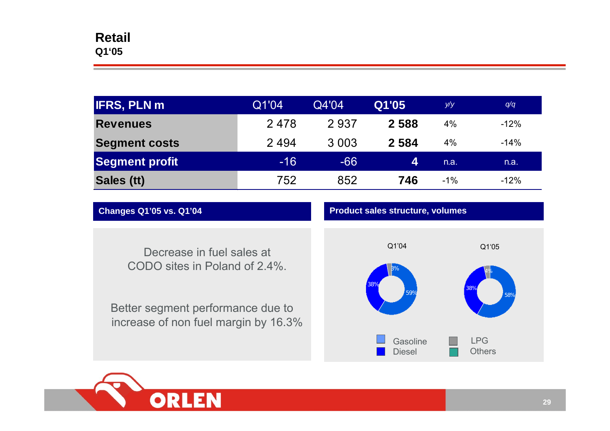| <b>IFRS, PLN m</b>    | Q1'04 | Q4'04   | Q1'05   | y/y    | q/q    |
|-----------------------|-------|---------|---------|--------|--------|
| <b>Revenues</b>       | 2478  | 2937    | 2588    | 4%     | $-12%$ |
| <b>Segment costs</b>  | 2494  | 3 0 0 3 | 2 5 8 4 | 4%     | $-14%$ |
| <b>Segment profit</b> | $-16$ | $-66$   | 4       | n.a.   | n.a.   |
| Sales (tt)            | 752   | 852     | 746     | $-1\%$ | $-12%$ |

**Changes Q1'05 vs. Q1'04 Product sales structure, volumes**

Decrease in fuel sales at

CODO sites in Poland of 2.4%.

Better segment performance due to increase of non fuel margin by 16.3%



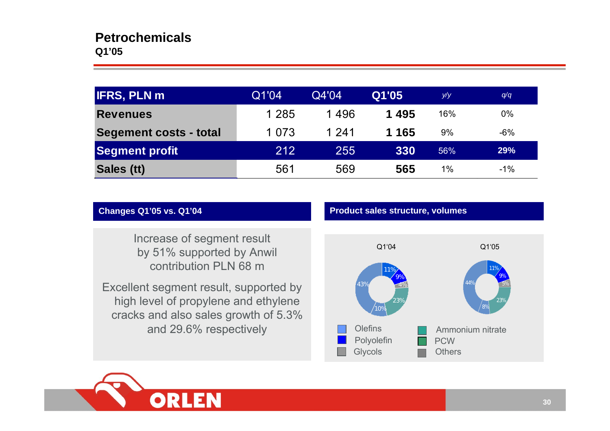| <b>IFRS, PLN m</b>     | Q1'04   | Q4'04 | Q1'05   | y/y   | q/q   |
|------------------------|---------|-------|---------|-------|-------|
| <b>Revenues</b>        | 1 2 8 5 | 1496  | 1495    | 16%   | $0\%$ |
| Segement costs - total | 1 0 7 3 | 1 241 | 1 1 6 5 | 9%    | $-6%$ |
| Segment profit         | 212     | 255   | 330     | 56%   | 29%   |
| Sales (tt)             | 561     | 569   | 565     | $1\%$ | $-1%$ |

### **Changes Q1'05 vs. Q1'04 Product sales structure, volumes**

 Increase of segment result by 51% supported by Anwil contribution PLN 68 m

Excellent segment result, supported by high level of propylene and ethylene cracks and also sales growth of 5.3% and 29.6% respectively



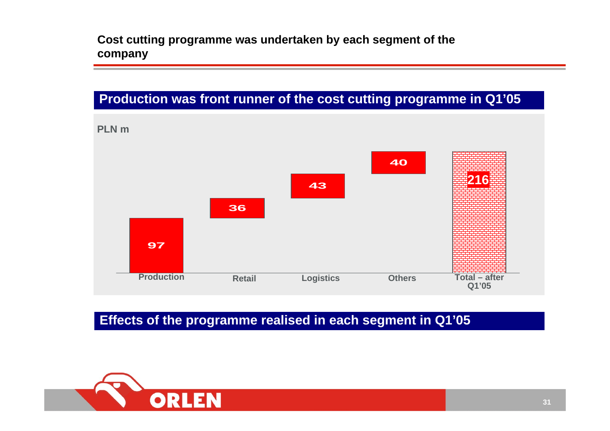**Cost cutting programme was undertaken by each segment of the company**

## **Production was front runner of the cost cutting programme in Q1'05**



**Effects of the programme realised in each segment in Q1'05**